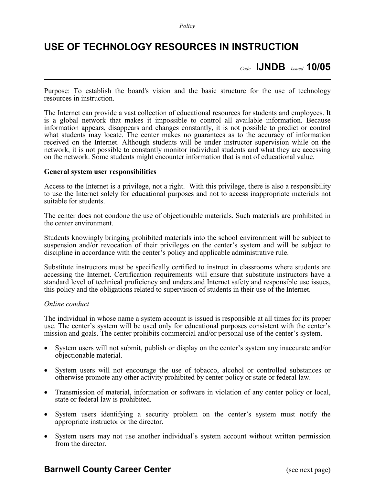## **USE OF TECHNOLOGY RESOURCES IN INSTRUCTION**

*Code* **IJNDB** *Issued* **10/05**

Purpose: To establish the board's vision and the basic structure for the use of technology resources in instruction.

The Internet can provide a vast collection of educational resources for students and employees. It is a global network that makes it impossible to control all available information. Because information appears, disappears and changes constantly, it is not possible to predict or control what students may locate. The center makes no guarantees as to the accuracy of information received on the Internet. Although students will be under instructor supervision while on the network, it is not possible to constantly monitor individual students and what they are accessing on the network. Some students might encounter information that is not of educational value.

### **General system user responsibilities**

Access to the Internet is a privilege, not a right. With this privilege, there is also a responsibility to use the Internet solely for educational purposes and not to access inappropriate materials not suitable for students.

The center does not condone the use of objectionable materials. Such materials are prohibited in the center environment.

Students knowingly bringing prohibited materials into the school environment will be subject to suspension and/or revocation of their privileges on the center's system and will be subject to discipline in accordance with the center's policy and applicable administrative rule.

Substitute instructors must be specifically certified to instruct in classrooms where students are accessing the Internet. Certification requirements will ensure that substitute instructors have a standard level of technical proficiency and understand Internet safety and responsible use issues, this policy and the obligations related to supervision of students in their use of the Internet.

#### *Online conduct*

The individual in whose name a system account is issued is responsible at all times for its proper use. The center's system will be used only for educational purposes consistent with the center's mission and goals. The center prohibits commercial and/or personal use of the center's system.

- System users will not submit, publish or display on the center's system any inaccurate and/or objectionable material.
- System users will not encourage the use of tobacco, alcohol or controlled substances or otherwise promote any other activity prohibited by center policy or state or federal law.
- Transmission of material, information or software in violation of any center policy or local, state or federal law is prohibited.
- System users identifying a security problem on the center's system must notify the appropriate instructor or the director.
- System users may not use another individual's system account without written permission from the director.

### **Barnwell County Career Center** (see next page)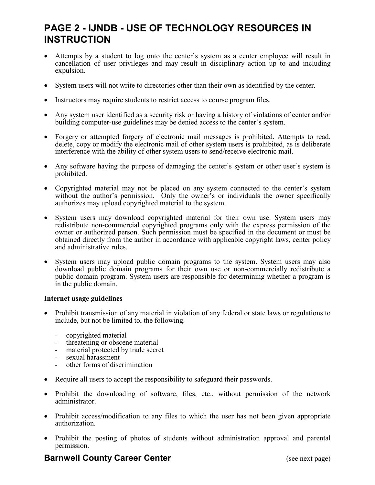# **PAGE 2 - IJNDB - USE OF TECHNOLOGY RESOURCES IN INSTRUCTION**

- Attempts by a student to log onto the center's system as a center employee will result in cancellation of user privileges and may result in disciplinary action up to and including expulsion.
- System users will not write to directories other than their own as identified by the center.
- Instructors may require students to restrict access to course program files.
- Any system user identified as a security risk or having a history of violations of center and/or building computer-use guidelines may be denied access to the center's system.
- Forgery or attempted forgery of electronic mail messages is prohibited. Attempts to read, delete, copy or modify the electronic mail of other system users is prohibited, as is deliberate interference with the ability of other system users to send/receive electronic mail.
- Any software having the purpose of damaging the center's system or other user's system is prohibited.
- Copyrighted material may not be placed on any system connected to the center's system without the author's permission. Only the owner's or individuals the owner specifically authorizes may upload copyrighted material to the system.
- System users may download copyrighted material for their own use. System users may redistribute non-commercial copyrighted programs only with the express permission of the owner or authorized person. Such permission must be specified in the document or must be obtained directly from the author in accordance with applicable copyright laws, center policy and administrative rules.
- System users may upload public domain programs to the system. System users may also download public domain programs for their own use or non-commercially redistribute a public domain program. System users are responsible for determining whether a program is in the public domain.

### **Internet usage guidelines**

- Prohibit transmission of any material in violation of any federal or state laws or regulations to include, but not be limited to, the following.
	- copyrighted material
	- threatening or obscene material
	- material protected by trade secret
	- sexual harassment
	- other forms of discrimination
- Require all users to accept the responsibility to safeguard their passwords.
- Prohibit the downloading of software, files, etc., without permission of the network administrator.
- Prohibit access/modification to any files to which the user has not been given appropriate authorization.
- Prohibit the posting of photos of students without administration approval and parental permission.

### **Barnwell County Career Center** (see next page)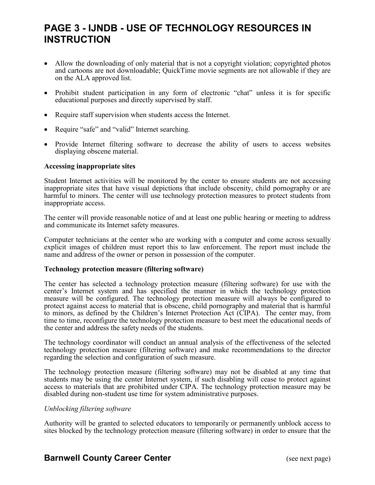## **PAGE 3 - IJNDB - USE OF TECHNOLOGY RESOURCES IN INSTRUCTION**

- Allow the downloading of only material that is not a copyright violation; copyrighted photos and cartoons are not downloadable; QuickTime movie segments are not allowable if they are on the ALA approved list.
- Prohibit student participation in any form of electronic "chat" unless it is for specific educational purposes and directly supervised by staff.
- Require staff supervision when students access the Internet.
- Require "safe" and "valid" Internet searching.
- Provide Internet filtering software to decrease the ability of users to access websites displaying obscene material.

### **Accessing inappropriate sites**

Student Internet activities will be monitored by the center to ensure students are not accessing inappropriate sites that have visual depictions that include obscenity, child pornography or are harmful to minors. The center will use technology protection measures to protect students from inappropriate access.

The center will provide reasonable notice of and at least one public hearing or meeting to address and communicate its Internet safety measures.

Computer technicians at the center who are working with a computer and come across sexually explicit images of children must report this to law enforcement. The report must include the name and address of the owner or person in possession of the computer.

### **Technology protection measure (filtering software)**

The center has selected a technology protection measure (filtering software) for use with the center's Internet system and has specified the manner in which the technology protection measure will be configured. The technology protection measure will always be configured to protect against access to material that is obscene, child pornography and material that is harmful to minors, as defined by the Children's Internet Protection Act (CIPA). The center may, from time to time, reconfigure the technology protection measure to best meet the educational needs of the center and address the safety needs of the students.

The technology coordinator will conduct an annual analysis of the effectiveness of the selected technology protection measure (filtering software) and make recommendations to the director regarding the selection and configuration of such measure.

The technology protection measure (filtering software) may not be disabled at any time that students may be using the center Internet system, if such disabling will cease to protect against access to materials that are prohibited under CIPA. The technology protection measure may be disabled during non-student use time for system administrative purposes.

### *Unblocking filtering software*

Authority will be granted to selected educators to temporarily or permanently unblock access to sites blocked by the technology protection measure (filtering software) in order to ensure that the

### **Barnwell County Career Center** (see next page)